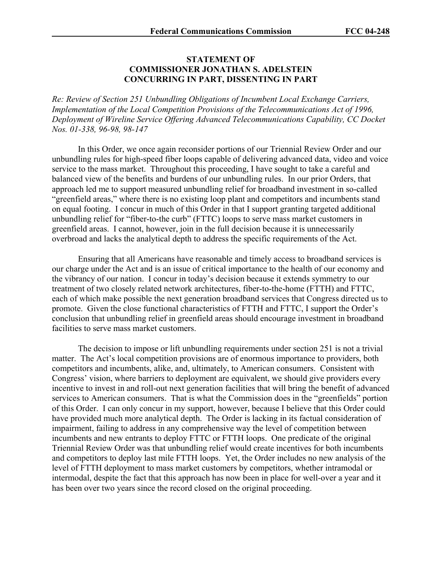## **STATEMENT OF COMMISSIONER JONATHAN S. ADELSTEIN CONCURRING IN PART, DISSENTING IN PART**

*Re: Review of Section 251 Unbundling Obligations of Incumbent Local Exchange Carriers, Implementation of the Local Competition Provisions of the Telecommunications Act of 1996, Deployment of Wireline Service Offering Advanced Telecommunications Capability, CC Docket Nos. 01-338, 96-98, 98-147* 

In this Order, we once again reconsider portions of our Triennial Review Order and our unbundling rules for high-speed fiber loops capable of delivering advanced data, video and voice service to the mass market. Throughout this proceeding, I have sought to take a careful and balanced view of the benefits and burdens of our unbundling rules. In our prior Orders, that approach led me to support measured unbundling relief for broadband investment in so-called "greenfield areas," where there is no existing loop plant and competitors and incumbents stand on equal footing. I concur in much of this Order in that I support granting targeted additional unbundling relief for "fiber-to-the curb" (FTTC) loops to serve mass market customers in greenfield areas. I cannot, however, join in the full decision because it is unnecessarily overbroad and lacks the analytical depth to address the specific requirements of the Act.

Ensuring that all Americans have reasonable and timely access to broadband services is our charge under the Act and is an issue of critical importance to the health of our economy and the vibrancy of our nation. I concur in today's decision because it extends symmetry to our treatment of two closely related network architectures, fiber-to-the-home (FTTH) and FTTC, each of which make possible the next generation broadband services that Congress directed us to promote. Given the close functional characteristics of FTTH and FTTC, I support the Order's conclusion that unbundling relief in greenfield areas should encourage investment in broadband facilities to serve mass market customers.

The decision to impose or lift unbundling requirements under section 251 is not a trivial matter. The Act's local competition provisions are of enormous importance to providers, both competitors and incumbents, alike, and, ultimately, to American consumers. Consistent with Congress' vision, where barriers to deployment are equivalent, we should give providers every incentive to invest in and roll-out next generation facilities that will bring the benefit of advanced services to American consumers. That is what the Commission does in the "greenfields" portion of this Order. I can only concur in my support, however, because I believe that this Order could have provided much more analytical depth. The Order is lacking in its factual consideration of impairment, failing to address in any comprehensive way the level of competition between incumbents and new entrants to deploy FTTC or FTTH loops. One predicate of the original Triennial Review Order was that unbundling relief would create incentives for both incumbents and competitors to deploy last mile FTTH loops. Yet, the Order includes no new analysis of the level of FTTH deployment to mass market customers by competitors, whether intramodal or intermodal, despite the fact that this approach has now been in place for well-over a year and it has been over two years since the record closed on the original proceeding.